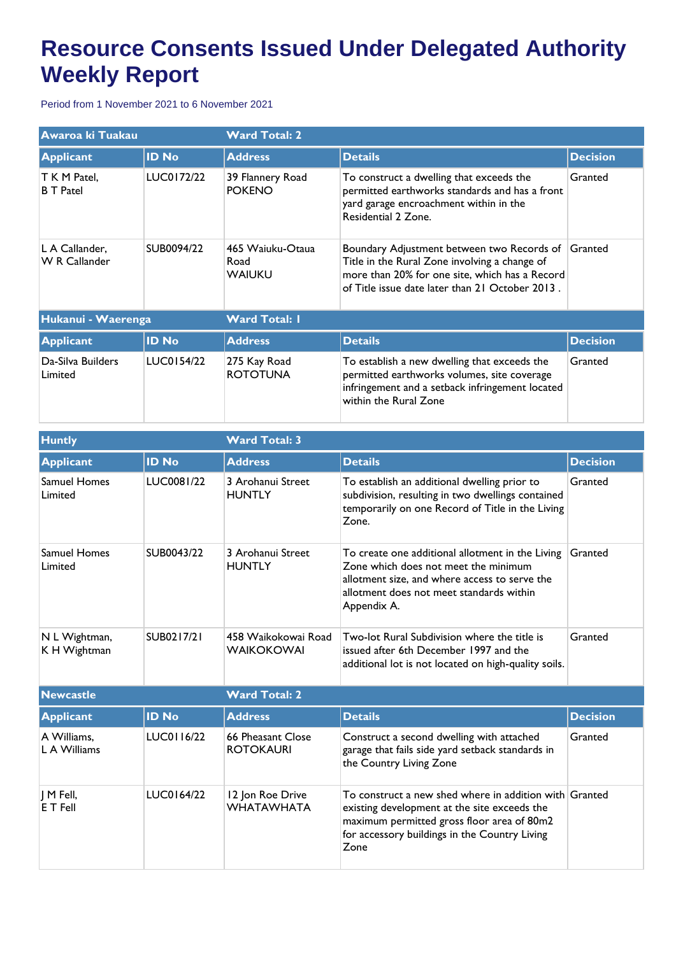## **Resource Consents Issued Under Delegated Authority Weekly Report**

Period from 1 November 2021 to 6 November 2021

| Awaroa ki Tuakau                       |              | <b>Ward Total: 2</b>                      |                                                                                                                                                                                                  |                 |  |
|----------------------------------------|--------------|-------------------------------------------|--------------------------------------------------------------------------------------------------------------------------------------------------------------------------------------------------|-----------------|--|
| <b>Applicant</b>                       | <b>ID No</b> | <b>Address</b>                            | <b>Details</b>                                                                                                                                                                                   | <b>Decision</b> |  |
| T K M Patel,<br><b>B</b> T Patel       | LUC0172/22   | 39 Flannery Road<br><b>POKENO</b>         | To construct a dwelling that exceeds the<br>permitted earthworks standards and has a front<br>yard garage encroachment within in the<br>Residential 2 Zone.                                      | Granted         |  |
| L A Callander,<br><b>W R Callander</b> | SUB0094/22   | 465 Waiuku-Otaua<br>Road<br><b>WAIUKU</b> | Boundary Adjustment between two Records of<br>Title in the Rural Zone involving a change of<br>more than 20% for one site, which has a Record<br>of Title issue date later than 21 October 2013. | Granted         |  |
| Hukanui - Waerenga                     |              | <b>Ward Total: I</b>                      |                                                                                                                                                                                                  |                 |  |
| <b>Applicant</b>                       | <b>ID No</b> | <b>Address</b>                            | <b>Details</b>                                                                                                                                                                                   | <b>Decision</b> |  |
| Da-Silva Builders<br>Limited           | LUC0154/22   | 275 Kay Road<br><b>ROTOTUNA</b>           | To establish a new dwelling that exceeds the<br>permitted earthworks volumes, site coverage<br>infringement and a setback infringement located<br>within the Rural Zone                          | Granted         |  |

| <b>Huntly</b>                  |              | <b>Ward Total: 3</b>                     |                                                                                                                                                                                                               |                 |  |
|--------------------------------|--------------|------------------------------------------|---------------------------------------------------------------------------------------------------------------------------------------------------------------------------------------------------------------|-----------------|--|
| <b>Applicant</b>               | <b>ID No</b> | <b>Address</b>                           | <b>Details</b>                                                                                                                                                                                                | <b>Decision</b> |  |
| <b>Samuel Homes</b><br>Limited | LUC0081/22   | 3 Arohanui Street<br><b>HUNTLY</b>       | To establish an additional dwelling prior to<br>subdivision, resulting in two dwellings contained<br>temporarily on one Record of Title in the Living<br>Zone.                                                | Granted         |  |
| <b>Samuel Homes</b><br>Limited | SUB0043/22   | 3 Arohanui Street<br><b>HUNTLY</b>       | To create one additional allotment in the Living<br>Zone which does not meet the minimum<br>allotment size, and where access to serve the<br>allotment does not meet standards within<br>Appendix A.          | Granted         |  |
| N L Wightman,<br>K H Wightman  | SUB0217/21   | 458 Waikokowai Road<br><b>WAIKOKOWAI</b> | Two-lot Rural Subdivision where the title is<br>issued after 6th December 1997 and the<br>additional lot is not located on high-quality soils.                                                                | Granted         |  |
| <b>Newcastle</b>               |              | <b>Ward Total: 2</b>                     |                                                                                                                                                                                                               |                 |  |
| <b>Applicant</b>               | <b>ID No</b> | <b>Address</b>                           | <b>Details</b>                                                                                                                                                                                                | <b>Decision</b> |  |
| A Williams,<br>L A Williams    | LUC0116/22   | 66 Pheasant Close<br><b>ROTOKAURI</b>    | Construct a second dwelling with attached<br>garage that fails side yard setback standards in<br>the Country Living Zone                                                                                      | Granted         |  |
| M Fell,<br>E T Fell            | LUC0164/22   | 12 Jon Roe Drive<br><b>WHATAWHATA</b>    | To construct a new shed where in addition with Granted<br>existing development at the site exceeds the<br>maximum permitted gross floor area of 80m2<br>for accessory buildings in the Country Living<br>Zone |                 |  |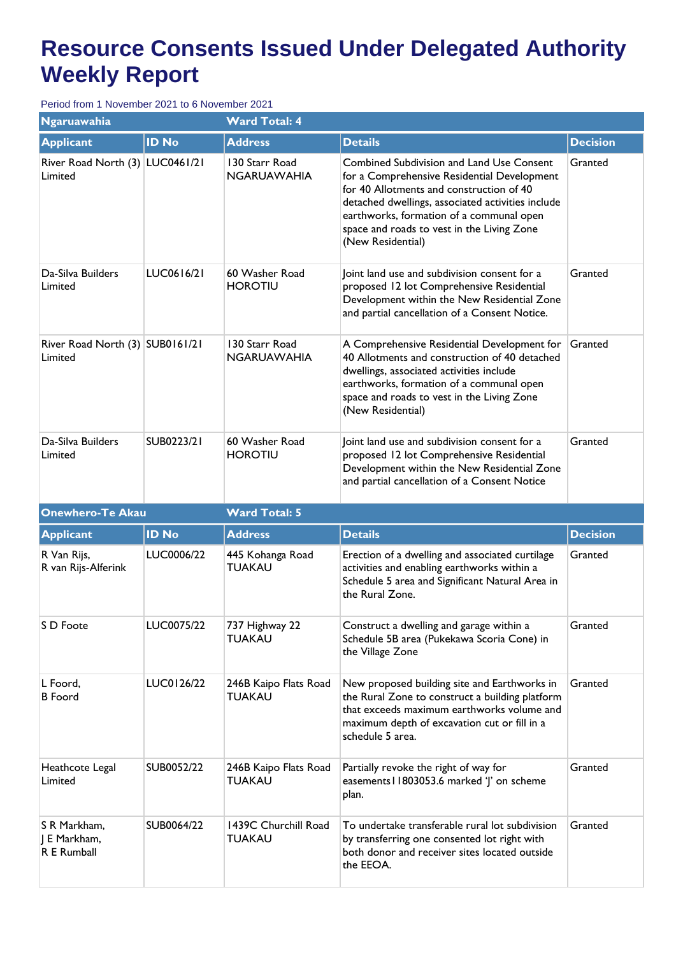## **Resource Consents Issued Under Delegated Authority Weekly Report**

Period from 1 November 2021 to 6 November 2021

| <b>Ngaruawahia</b>                         |              | <b>Ward Total: 4</b>                 |                                                                                                                                                                                                                                                                                                          |                 |  |  |
|--------------------------------------------|--------------|--------------------------------------|----------------------------------------------------------------------------------------------------------------------------------------------------------------------------------------------------------------------------------------------------------------------------------------------------------|-----------------|--|--|
| <b>Applicant</b>                           | <b>ID No</b> | <b>Address</b>                       | <b>Details</b>                                                                                                                                                                                                                                                                                           | <b>Decision</b> |  |  |
| River Road North (3) LUC0461/21<br>Limited |              | 130 Starr Road<br><b>NGARUAWAHIA</b> | Combined Subdivision and Land Use Consent<br>for a Comprehensive Residential Development<br>for 40 Allotments and construction of 40<br>detached dwellings, associated activities include<br>earthworks, formation of a communal open<br>space and roads to vest in the Living Zone<br>(New Residential) | Granted         |  |  |
| Da-Silva Builders<br>Limited               | LUC0616/21   | 60 Washer Road<br><b>HOROTIU</b>     | Joint land use and subdivision consent for a<br>proposed 12 lot Comprehensive Residential<br>Development within the New Residential Zone<br>and partial cancellation of a Consent Notice.                                                                                                                | Granted         |  |  |
| River Road North (3) SUB0161/21<br>Limited |              | 130 Starr Road<br><b>NGARUAWAHIA</b> | A Comprehensive Residential Development for<br>40 Allotments and construction of 40 detached<br>dwellings, associated activities include<br>earthworks, formation of a communal open<br>space and roads to vest in the Living Zone<br>(New Residential)                                                  | Granted         |  |  |
| Da-Silva Builders<br>Limited               | SUB0223/21   | 60 Washer Road<br><b>HOROTIU</b>     | Joint land use and subdivision consent for a<br>proposed 12 lot Comprehensive Residential<br>Development within the New Residential Zone<br>and partial cancellation of a Consent Notice                                                                                                                 | Granted         |  |  |
| <b>Onewhero-Te Akau</b>                    |              | <b>Ward Total: 5</b>                 |                                                                                                                                                                                                                                                                                                          |                 |  |  |
|                                            |              |                                      |                                                                                                                                                                                                                                                                                                          |                 |  |  |
| <b>Applicant</b>                           | <b>ID No</b> | <b>Address</b>                       | <b>Details</b>                                                                                                                                                                                                                                                                                           | <b>Decision</b> |  |  |
| R Van Rijs,<br>R van Rijs-Alferink         | LUC0006/22   | 445 Kohanga Road<br>TUAKAU           | Erection of a dwelling and associated curtilage<br>activities and enabling earthworks within a<br>Schedule 5 area and Significant Natural Area in<br>the Rural Zone.                                                                                                                                     | Granted         |  |  |
| S D Foote                                  | LUC0075/22   | 737 Highway 22<br><b>TUAKAU</b>      | Construct a dwelling and garage within a<br>Schedule 5B area (Pukekawa Scoria Cone) in<br>the Village Zone                                                                                                                                                                                               | Granted         |  |  |
| L Foord,<br><b>B</b> Foord                 | LUC0126/22   | 246B Kaipo Flats Road<br>TUAKAU      | New proposed building site and Earthworks in<br>the Rural Zone to construct a building platform<br>that exceeds maximum earthworks volume and<br>maximum depth of excavation cut or fill in a<br>schedule 5 area.                                                                                        | Granted         |  |  |
| Heathcote Legal<br>Limited                 | SUB0052/22   | 246B Kaipo Flats Road<br>TUAKAU      | Partially revoke the right of way for<br>easements I 1803053.6 marked 'J' on scheme<br>plan.                                                                                                                                                                                                             | Granted         |  |  |